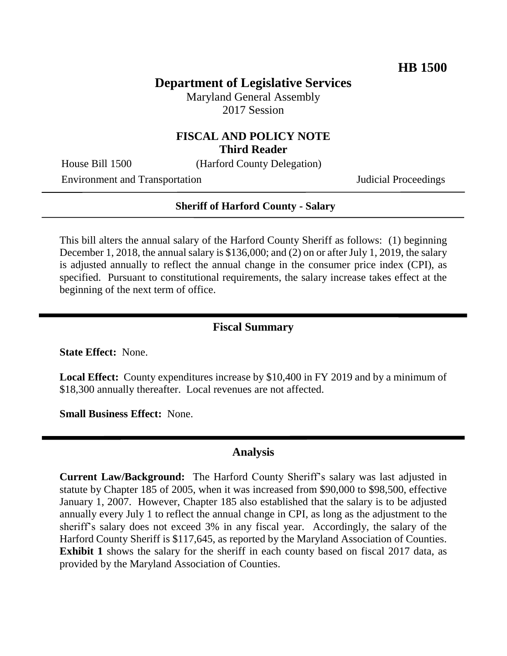# **Department of Legislative Services**

Maryland General Assembly 2017 Session

### **FISCAL AND POLICY NOTE Third Reader**

House Bill 1500 (Harford County Delegation)

Environment and Transportation **Internal Acceptual Proceedings** Judicial Proceedings

#### **Sheriff of Harford County - Salary**

This bill alters the annual salary of the Harford County Sheriff as follows: (1) beginning December 1, 2018, the annual salary is \$136,000; and (2) on or after July 1, 2019, the salary is adjusted annually to reflect the annual change in the consumer price index (CPI), as specified. Pursuant to constitutional requirements, the salary increase takes effect at the beginning of the next term of office.

#### **Fiscal Summary**

**State Effect:** None.

**Local Effect:** County expenditures increase by \$10,400 in FY 2019 and by a minimum of \$18,300 annually thereafter. Local revenues are not affected.

**Small Business Effect:** None.

## **Analysis**

**Current Law/Background:** The Harford County Sheriff's salary was last adjusted in statute by Chapter 185 of 2005, when it was increased from \$90,000 to \$98,500, effective January 1, 2007. However, Chapter 185 also established that the salary is to be adjusted annually every July 1 to reflect the annual change in CPI, as long as the adjustment to the sheriff's salary does not exceed 3% in any fiscal year. Accordingly, the salary of the Harford County Sheriff is \$117,645, as reported by the Maryland Association of Counties. **Exhibit 1** shows the salary for the sheriff in each county based on fiscal 2017 data, as provided by the Maryland Association of Counties.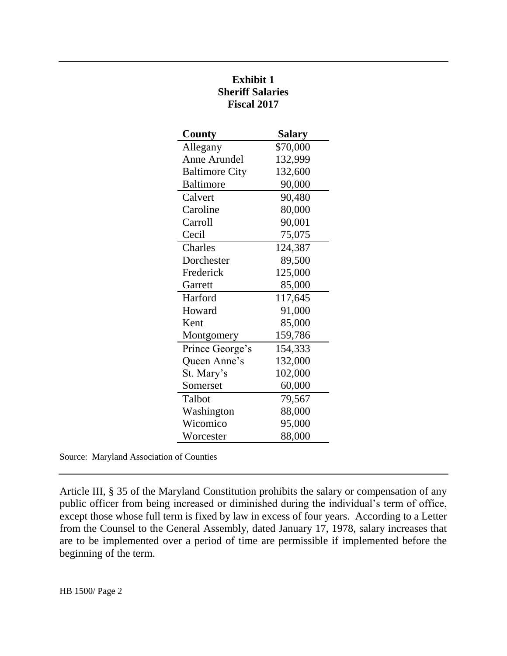| County                | Salary   |
|-----------------------|----------|
| Allegany              | \$70,000 |
| Anne Arundel          | 132,999  |
| <b>Baltimore City</b> | 132,600  |
| <b>Baltimore</b>      | 90,000   |
| Calvert               | 90,480   |
| Caroline              | 80,000   |
| Carroll               | 90,001   |
| Cecil                 | 75,075   |
| Charles               | 124,387  |
| Dorchester            | 89,500   |
| Frederick             | 125,000  |
| Garrett               | 85,000   |
| Harford               | 117,645  |
| Howard                | 91,000   |
| Kent                  | 85,000   |
| Montgomery            | 159,786  |
| Prince George's       | 154,333  |
| Queen Anne's          | 132,000  |
| St. Mary's            | 102,000  |
| Somerset              | 60,000   |
| Talbot                | 79,567   |
| Washington            | 88,000   |
| Wicomico              | 95,000   |
| Worcester             | 88,000   |

# **Exhibit 1 Sheriff Salaries Fiscal 2017**

Source: Maryland Association of Counties

Article III, § 35 of the Maryland Constitution prohibits the salary or compensation of any public officer from being increased or diminished during the individual's term of office, except those whose full term is fixed by law in excess of four years. According to a Letter from the Counsel to the General Assembly, dated January 17, 1978, salary increases that are to be implemented over a period of time are permissible if implemented before the beginning of the term.